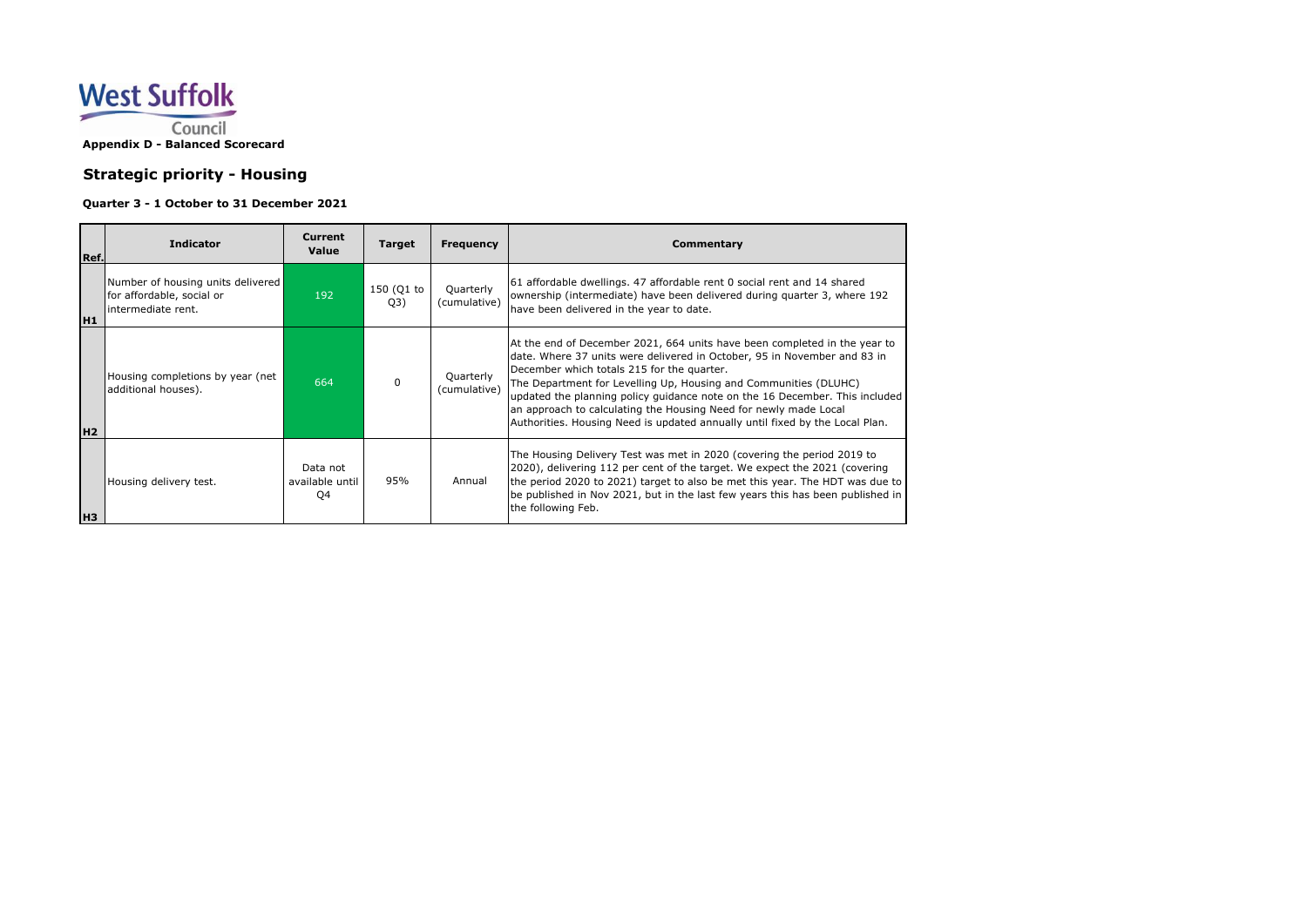

## **Strategic priority - Housing**

## **Quarter 3 - 1 October to 31 December 2021**

| Ref.           | <b>Indicator</b>                                                                      | <b>Current</b><br>Value           | <b>Target</b>     | Frequency                 | Commentary                                                                                                                                                                                                                                                                                                                                                                                                                                                                                                 |
|----------------|---------------------------------------------------------------------------------------|-----------------------------------|-------------------|---------------------------|------------------------------------------------------------------------------------------------------------------------------------------------------------------------------------------------------------------------------------------------------------------------------------------------------------------------------------------------------------------------------------------------------------------------------------------------------------------------------------------------------------|
| H <sub>1</sub> | Number of housing units delivered<br>for affordable, social or<br>lintermediate rent. | 192                               | 150 (Q1 to<br>Q3) | Quarterly<br>(cumulative) | 61 affordable dwellings. 47 affordable rent 0 social rent and 14 shared<br>ownership (intermediate) have been delivered during quarter 3, where 192<br>have been delivered in the year to date.                                                                                                                                                                                                                                                                                                            |
| H <sub>2</sub> | Housing completions by year (net<br>additional houses).                               | 664                               | $\Omega$          | Quarterly<br>(cumulative) | At the end of December 2021, 664 units have been completed in the year to<br>date. Where 37 units were delivered in October, 95 in November and 83 in<br>December which totals 215 for the quarter.<br>The Department for Levelling Up, Housing and Communities (DLUHC)<br>updated the planning policy guidance note on the 16 December. This included<br>an approach to calculating the Housing Need for newly made Local<br>Authorities. Housing Need is updated annually until fixed by the Local Plan. |
| Iнз            | Housing delivery test.                                                                | Data not<br>available until<br>Q4 | 95%               | Annual                    | The Housing Delivery Test was met in 2020 (covering the period 2019 to<br>2020), delivering 112 per cent of the target. We expect the 2021 (covering<br>the period 2020 to 2021) target to also be met this year. The HDT was due to<br>be published in Nov 2021, but in the last few years this has been published in<br>the following Feb.                                                                                                                                                               |